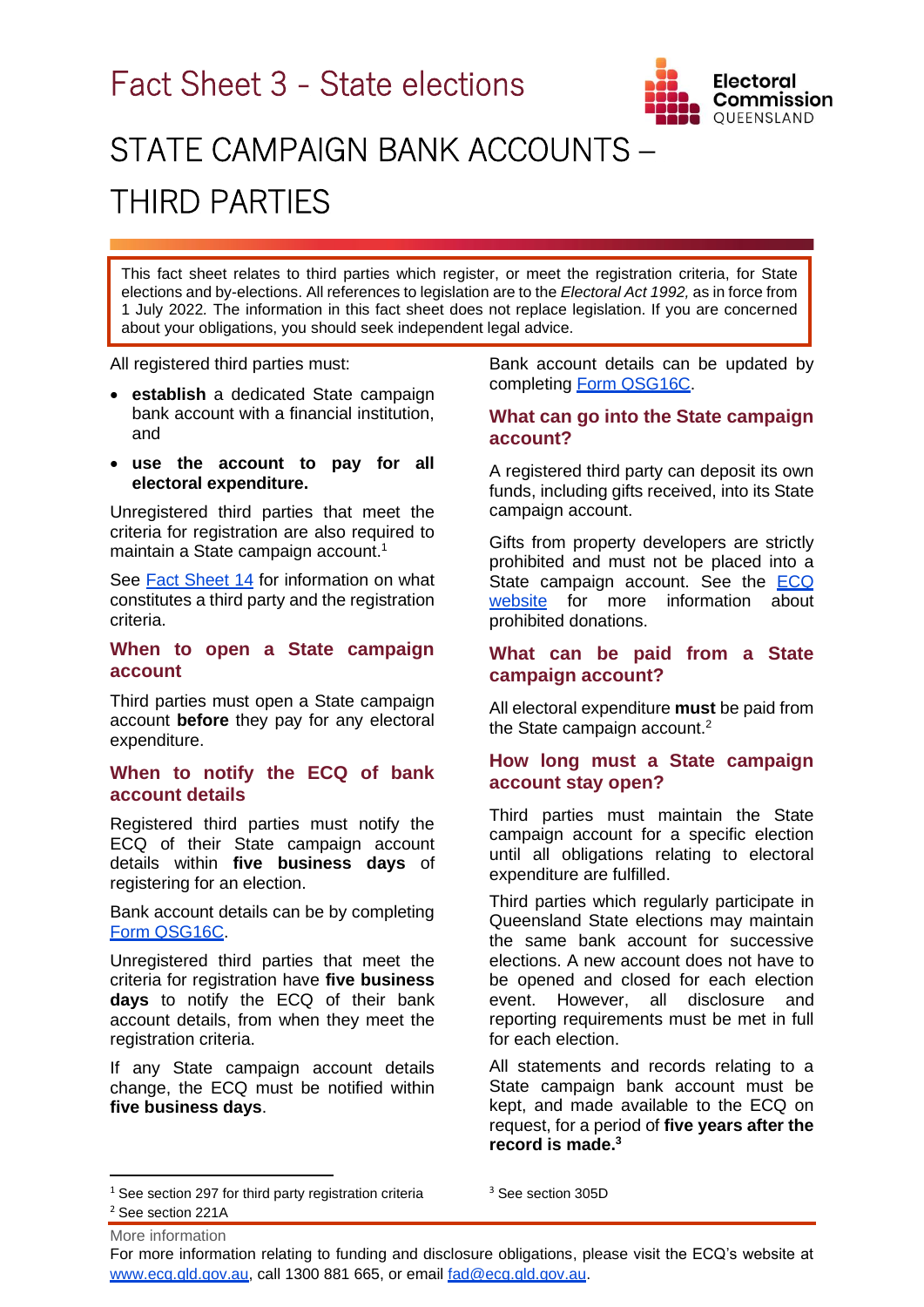

# STATE CAMPAIGN BANK ACCOUNTS – THIRD PARTIES

This fact sheet relates to third parties which register, or meet the registration criteria, for State elections and by-elections. All references to legislation are to the *Electoral Act 1992,* as in force from 1 July 2022*.* The information in this fact sheet does not replace legislation. If you are concerned about your obligations, you should seek independent legal advice.

All registered third parties must:

- **establish** a dedicated State campaign bank account with a financial institution, and
- **use the account to pay for all electoral expenditure.**

Unregistered third parties that meet the criteria for registration are also required to maintain a State campaign account.<sup>1</sup>

See **[Fact Sheet 14](https://www.ecq.qld.gov.au/election-participants/handbooks,-fact-sheets-and-forms)** for information on what constitutes a third party and the registration criteria.

### **When to open a State campaign account**

Third parties must open a State campaign account **before** they pay for any electoral expenditure.

## **When to notify the ECQ of bank account details**

Registered third parties must notify the ECQ of their State campaign account details within **five business days** of registering for an election.

Bank account details can be by completing [Form QSG16C.](https://www.ecq.qld.gov.au/election-participants/handbooks,-fact-sheets-and-forms)

Unregistered third parties that meet the criteria for registration have **five business days** to notify the ECQ of their bank account details, from when they meet the registration criteria.

If any State campaign account details change, the ECQ must be notified within **five business days**.

Bank account details can be updated by completing [Form QSG16C.](https://www.ecq.qld.gov.au/election-participants/handbooks,-fact-sheets-and-forms)

## **What can go into the State campaign account?**

A registered third party can deposit its own funds, including gifts received, into its State campaign account.

Gifts from property developers are strictly prohibited and must not be placed into a State campaign account. See the [ECQ](https://www.ecq.qld.gov.au/donations-and-expenditure-disclosure/prohibited-donors-scheme)  [website](https://www.ecq.qld.gov.au/donations-and-expenditure-disclosure/prohibited-donors-scheme) for more information about prohibited donations.

## **What can be paid from a State campaign account?**

All electoral expenditure **must** be paid from the State campaign account.<sup>2</sup>

## **How long must a State campaign account stay open?**

Third parties must maintain the State campaign account for a specific election until all obligations relating to electoral expenditure are fulfilled.

Third parties which regularly participate in Queensland State elections may maintain the same bank account for successive elections. A new account does not have to be opened and closed for each election event. However, all disclosure and reporting requirements must be met in full for each election.

All statements and records relating to a State campaign bank account must be kept, and made available to the ECQ on request, for a period of **five years after the record is made.<sup>3</sup>**

For more information relating to funding and disclosure obligations, please visit the ECQ's website at [www.ecq.qld.gov.au,](http://www.ecq.qld.gov.au/) call 1300 881 665, or email [fad@ecq.qld.gov.au.](mailto:fad@ecq.qld.gov.au)

 $1$  See section 297 for third party registration criteria

More information <sup>2</sup> See section 221A

<sup>&</sup>lt;sup>3</sup> See section 305D